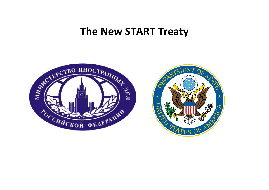## **The New START Treaty**



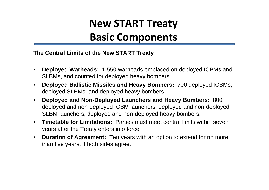# **New START Treaty**

# **Basic Components**

#### **The Central Limits of the New START Treaty**

- $\bullet$  **Deployed Warheads:** 1,550 warheads emplaced on deployed ICBMs and SLBMs, and counted for deployed heavy bombers.
- $\bullet$  **Deployed Ballistic Missiles and Heavy Bombers:** 700 deployed ICBMs, deployed SLBMs, and deployed heavy bombers.
- $\bullet$  **Deployed and Non-Deployed Launchers and Heavy Bombers:** 800 deployed and non-deployed ICBM launchers, deployed and non-deployed SLBM launchers, deployed and non-deployed heavy bombers.
- $\bullet$  **Timetable for Limitations:** Parties must meet central limits within seven years after the Treaty enters into force.
- $\bullet$  **Duration of Agreement:** Ten years with an option to extend for no more than five years, if both sides agree.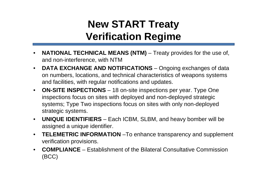# **New START Treaty Verification Regime**

- $\bullet$ **NATIONAL TECHNICAL MEANS (NTM)** – Treaty provides for the use of, and non-interference, with NTM
- $\bullet$ **DATA EXCHANGE AND NOTIFICATIONS** – Ongoing exchanges of data on numbers, locations, and technical characteristics of weapons systems and facilities, with regular notifications and updates.
- $\bullet$  **ON-SITE INSPECTIONS** – 18 on-site inspections per year. Type One inspections focus on sites with deployed and non-deployed strategic systems; Type Two inspections focus on sites with only non-deployed strategic systems.
- **UNIQUE IDENTIFIERS**  Each ICBM, SLBM, and heavy bomber will be assigned a unique identifier.
- • **TELEMETRIC INFORMATION** –To enhance transparency and supplement verification provisions.
- • **COMPLIANCE** – Establishment of the Bilateral Consultative Commission (BCC)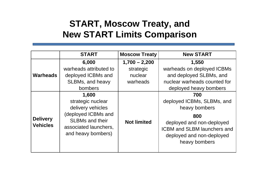### **START, Moscow Treaty, and New START Limits Comparison**

|                                    | <b>START</b>                                                                                                                                    | <b>Moscow Treaty</b> | <b>New START</b>                                                                                                                                                           |
|------------------------------------|-------------------------------------------------------------------------------------------------------------------------------------------------|----------------------|----------------------------------------------------------------------------------------------------------------------------------------------------------------------------|
| <b>Warheads</b>                    | 6,000                                                                                                                                           | $1,700 - 2,200$      | 1,550                                                                                                                                                                      |
|                                    | warheads attributed to                                                                                                                          | strategic            | warheads on deployed ICBMs                                                                                                                                                 |
|                                    | deployed ICBMs and                                                                                                                              | nuclear              | and deployed SLBMs, and                                                                                                                                                    |
|                                    | SLBMs, and heavy                                                                                                                                | warheads             | nuclear warheads counted for                                                                                                                                               |
|                                    | bombers                                                                                                                                         |                      | deployed heavy bombers                                                                                                                                                     |
| <b>Delivery</b><br><b>Vehicles</b> | 1,600<br>strategic nuclear<br>delivery vehicles<br>(deployed ICBMs and<br><b>SLBMs and their</b><br>associated launchers,<br>and heavy bombers) | <b>Not limited</b>   | 700<br>deployed ICBMs, SLBMs, and<br>heavy bombers<br>800<br>deployed and non-deployed<br><b>ICBM and SLBM launchers and</b><br>deployed and non-deployed<br>heavy bombers |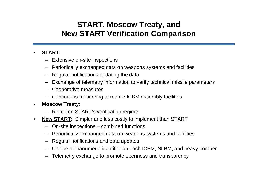### **START, Moscow Treaty, and New START Verification Comparison**

#### •**START**:

- Extensive on-site inspections
- Periodically exchanged data on weapons systems and facilities
- Regular notifications updating the data
- Exchange of telemetry information to verify technical missile parameters
- Cooperative measures
- Continuous monitoring at mobile ICBM assembly facilities

#### •**Moscow Treaty**:

- Relied on START's verification regime
- • **New START**: Simpler and less costly to implement than START
	- On-site inspections combined functions
	- Periodically exchanged data on weapons systems and facilities
	- Regular notifications and data updates
	- Unique alphanumeric identifier on each ICBM, SLBM, and heavy bomber
	- Telemetry exchange to promote openness and transparency